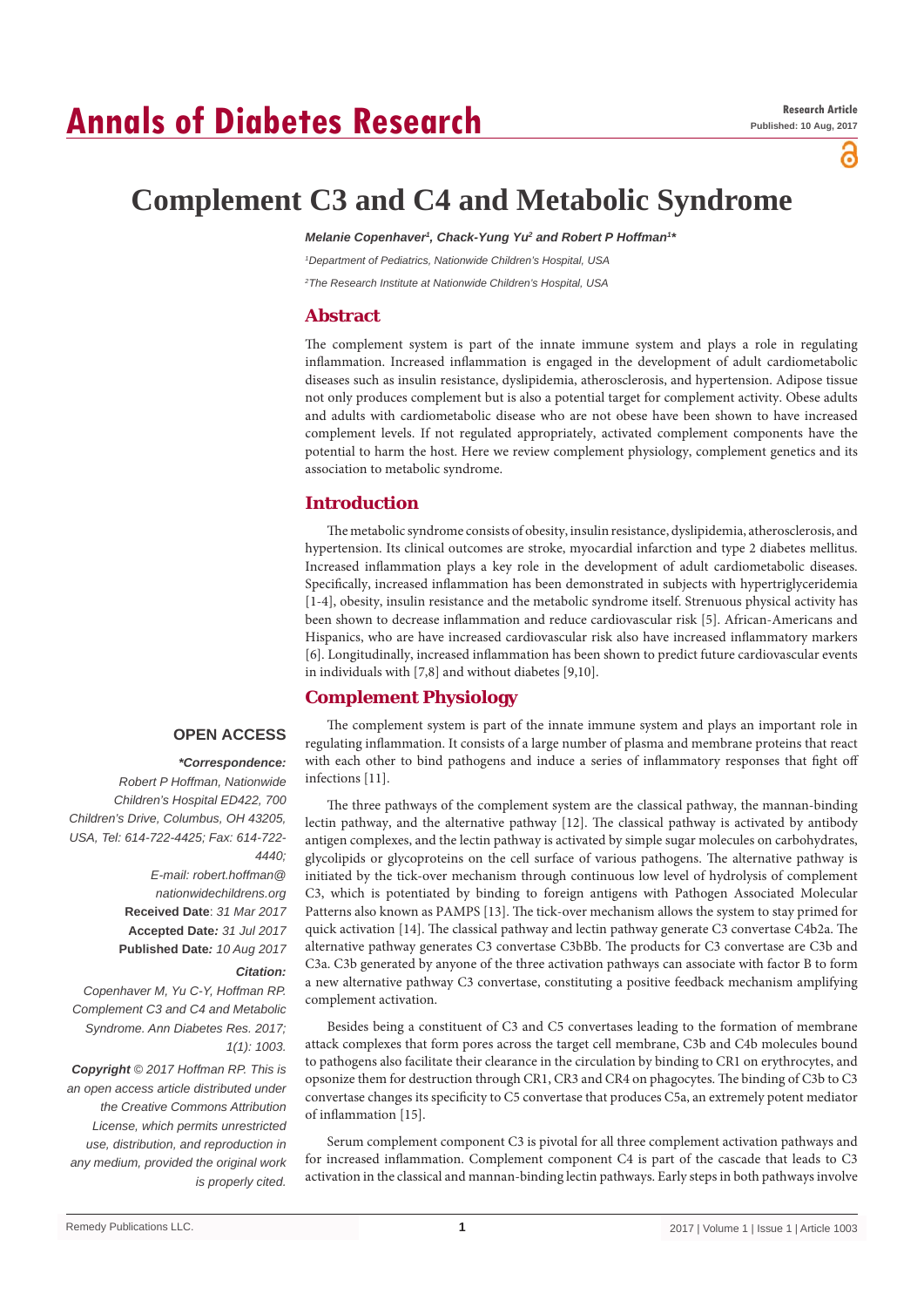# **Annals of Diabetes Research**

്

## **Complement C3 and C4 and Metabolic Syndrome**

Melanie Copenhaver<sup>1</sup>, Chack-Yung Yu<sup>2</sup> and Robert P Hoffman<sup>1</sup><sup></sup>

*1 Department of Pediatrics, Nationwide Children's Hospital, USA 2 The Research Institute at Nationwide Children's Hospital, USA*

**Abstract**

The complement system is part of the innate immune system and plays a role in regulating inflammation. Increased inflammation is engaged in the development of adult cardiometabolic diseases such as insulin resistance, dyslipidemia, atherosclerosis, and hypertension. Adipose tissue not only produces complement but is also a potential target for complement activity. Obese adults and adults with cardiometabolic disease who are not obese have been shown to have increased complement levels. If not regulated appropriately, activated complement components have the potential to harm the host. Here we review complement physiology, complement genetics and its association to metabolic syndrome.

## **Introduction**

The metabolic syndrome consists of obesity, insulin resistance, dyslipidemia, atherosclerosis, and hypertension. Its clinical outcomes are stroke, myocardial infarction and type 2 diabetes mellitus. Increased inflammation plays a key role in the development of adult cardiometabolic diseases. Specifically, increased inflammation has been demonstrated in subjects with hypertriglyceridemia [1-4], obesity, insulin resistance and the metabolic syndrome itself. Strenuous physical activity has been shown to decrease inflammation and reduce cardiovascular risk [5]. African-Americans and Hispanics, who are have increased cardiovascular risk also have increased inflammatory markers [6]. Longitudinally, increased inflammation has been shown to predict future cardiovascular events in individuals with [7,8] and without diabetes [9,10].

## **Complement Physiology**

## **OPEN ACCESS**

#### *\*Correspondence:*

*Robert P Hoffman, Nationwide Children's Hospital ED422, 700 Children's Drive, Columbus, OH 43205, USA, Tel: 614-722-4425; Fax: 614-722- 4440;*

> *E-mail: robert.hoffman@ nationwidechildrens.org* **Received Date**: *31 Mar 2017* **Accepted Date***: 31 Jul 2017* **Published Date***: 10 Aug 2017*

#### *Citation:*

*Copenhaver M, Yu C-Y, Hoffman RP. Complement C3 and C4 and Metabolic Syndrome. Ann Diabetes Res. 2017; 1(1): 1003.*

*Copyright © 2017 Hoffman RP. This is an open access article distributed under the Creative Commons Attribution License, which permits unrestricted use, distribution, and reproduction in any medium, provided the original work is properly cited.*

The complement system is part of the innate immune system and plays an important role in regulating inflammation. It consists of a large number of plasma and membrane proteins that react with each other to bind pathogens and induce a series of inflammatory responses that fight off infections [11].

The three pathways of the complement system are the classical pathway, the mannan-binding lectin pathway, and the alternative pathway [12]. The classical pathway is activated by antibody antigen complexes, and the lectin pathway is activated by simple sugar molecules on carbohydrates, glycolipids or glycoproteins on the cell surface of various pathogens. The alternative pathway is initiated by the tick-over mechanism through continuous low level of hydrolysis of complement C3, which is potentiated by binding to foreign antigens with Pathogen Associated Molecular Patterns also known as PAMPS [13]. The tick-over mechanism allows the system to stay primed for quick activation [14]. The classical pathway and lectin pathway generate C3 convertase C4b2a. The alternative pathway generates C3 convertase C3bBb. The products for C3 convertase are C3b and C3a. C3b generated by anyone of the three activation pathways can associate with factor B to form a new alternative pathway C3 convertase, constituting a positive feedback mechanism amplifying complement activation.

Besides being a constituent of C3 and C5 convertases leading to the formation of membrane attack complexes that form pores across the target cell membrane, C3b and C4b molecules bound to pathogens also facilitate their clearance in the circulation by binding to CR1 on erythrocytes, and opsonize them for destruction through CR1, CR3 and CR4 on phagocytes. The binding of C3b to C3 convertase changes its specificity to C5 convertase that produces C5a, an extremely potent mediator of inflammation [15].

Serum complement component C3 is pivotal for all three complement activation pathways and for increased inflammation. Complement component C4 is part of the cascade that leads to C3 activation in the classical and mannan-binding lectin pathways. Early steps in both pathways involve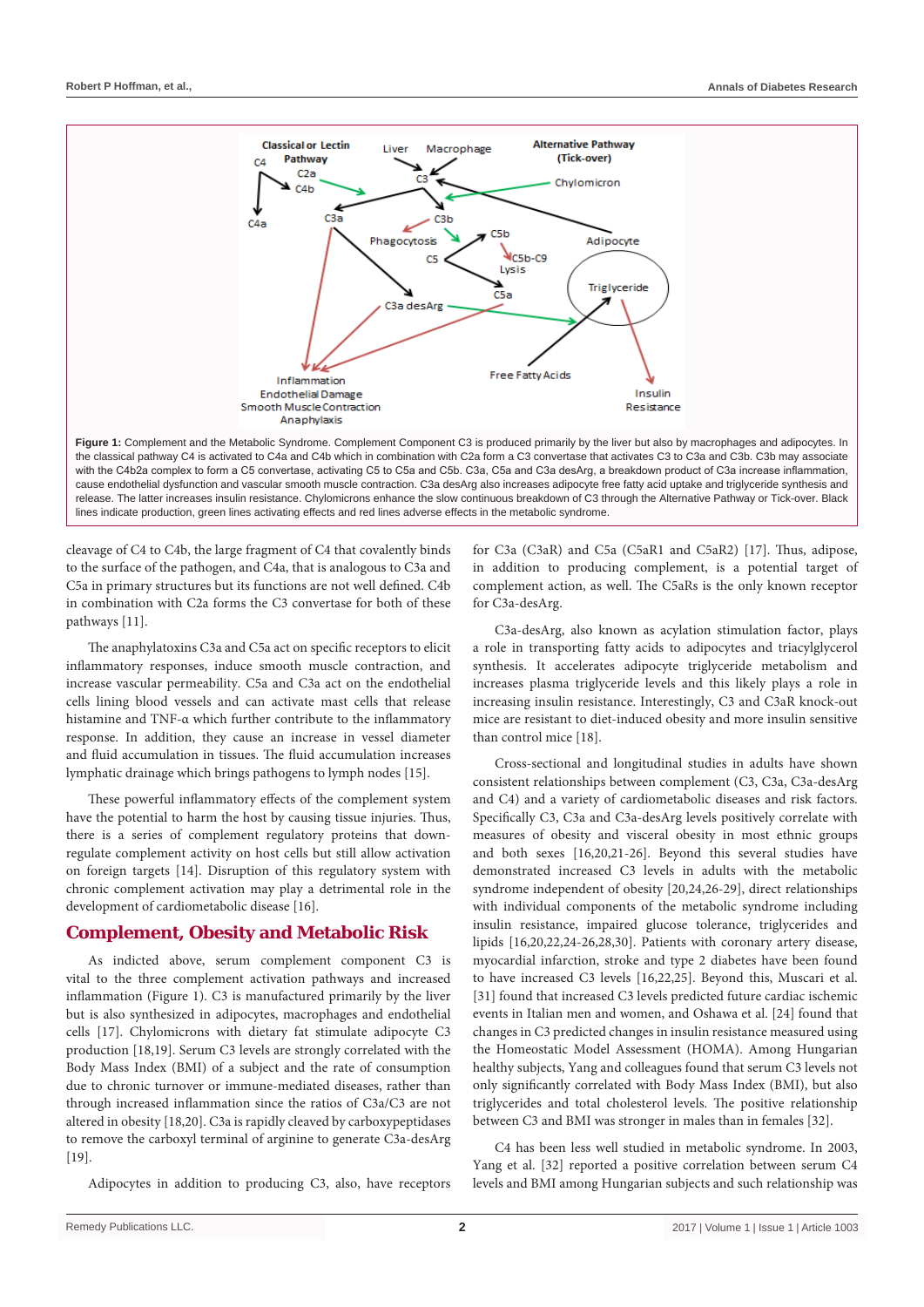

with the C4b2a complex to form a C5 convertase, activating C5 to C5a and C5b. C3a, C5a and C3a desArg, a breakdown product of C3a increase inflammation, cause endothelial dysfunction and vascular smooth muscle contraction. C3a desArg also increases adipocyte free fatty acid uptake and triglyceride synthesis and release. The latter increases insulin resistance. Chylomicrons enhance the slow continuous breakdown of C3 through the Alternative Pathway or Tick-over. Black lines indicate production, green lines activating effects and red lines adverse effects in the metabolic syndrome.

cleavage of C4 to C4b, the large fragment of C4 that covalently binds to the surface of the pathogen, and C4a, that is analogous to C3a and C5a in primary structures but its functions are not well defined. C4b in combination with C2a forms the C3 convertase for both of these pathways [11].

The anaphylatoxins C3a and C5a act on specific receptors to elicit inflammatory responses, induce smooth muscle contraction, and increase vascular permeability. C5a and C3a act on the endothelial cells lining blood vessels and can activate mast cells that release histamine and TNF-α which further contribute to the inflammatory response. In addition, they cause an increase in vessel diameter and fluid accumulation in tissues. The fluid accumulation increases lymphatic drainage which brings pathogens to lymph nodes [15].

These powerful inflammatory effects of the complement system have the potential to harm the host by causing tissue injuries. Thus, there is a series of complement regulatory proteins that downregulate complement activity on host cells but still allow activation on foreign targets [14]. Disruption of this regulatory system with chronic complement activation may play a detrimental role in the development of cardiometabolic disease [16].

### **Complement, Obesity and Metabolic Risk**

As indicted above, serum complement component C3 is vital to the three complement activation pathways and increased inflammation (Figure 1). C3 is manufactured primarily by the liver but is also synthesized in adipocytes, macrophages and endothelial cells [17]. Chylomicrons with dietary fat stimulate adipocyte C3 production [18,19]. Serum C3 levels are strongly correlated with the Body Mass Index (BMI) of a subject and the rate of consumption due to chronic turnover or immune-mediated diseases, rather than through increased inflammation since the ratios of C3a/C3 are not altered in obesity [18,20]. C3a is rapidly cleaved by carboxypeptidases to remove the carboxyl terminal of arginine to generate C3a-desArg [19].

Adipocytes in addition to producing C3, also, have receptors

for C3a (C3aR) and C5a (C5aR1 and C5aR2) [17]. Thus, adipose, in addition to producing complement, is a potential target of complement action, as well. The C5aRs is the only known receptor for C3a-desArg.

C3a-desArg, also known as acylation stimulation factor, plays a role in transporting fatty acids to adipocytes and triacylglycerol synthesis. It accelerates adipocyte triglyceride metabolism and increases plasma triglyceride levels and this likely plays a role in increasing insulin resistance. Interestingly, C3 and C3aR knock-out mice are resistant to diet-induced obesity and more insulin sensitive than control mice [18].

Cross-sectional and longitudinal studies in adults have shown consistent relationships between complement (C3, C3a, C3a-desArg and C4) and a variety of cardiometabolic diseases and risk factors. Specifically C3, C3a and C3a-desArg levels positively correlate with measures of obesity and visceral obesity in most ethnic groups and both sexes [16,20,21-26]. Beyond this several studies have demonstrated increased C3 levels in adults with the metabolic syndrome independent of obesity [20,24,26-29], direct relationships with individual components of the metabolic syndrome including insulin resistance, impaired glucose tolerance, triglycerides and lipids [16,20,22,24-26,28,30]. Patients with coronary artery disease, myocardial infarction, stroke and type 2 diabetes have been found to have increased C3 levels [16,22,25]. Beyond this, Muscari et al. [31] found that increased C3 levels predicted future cardiac ischemic events in Italian men and women, and Oshawa et al. [24] found that changes in C3 predicted changes in insulin resistance measured using the Homeostatic Model Assessment (HOMA). Among Hungarian healthy subjects, Yang and colleagues found that serum C3 levels not only significantly correlated with Body Mass Index (BMI), but also triglycerides and total cholesterol levels. The positive relationship between C3 and BMI was stronger in males than in females [32].

C4 has been less well studied in metabolic syndrome. In 2003, Yang et al. [32] reported a positive correlation between serum C4 levels and BMI among Hungarian subjects and such relationship was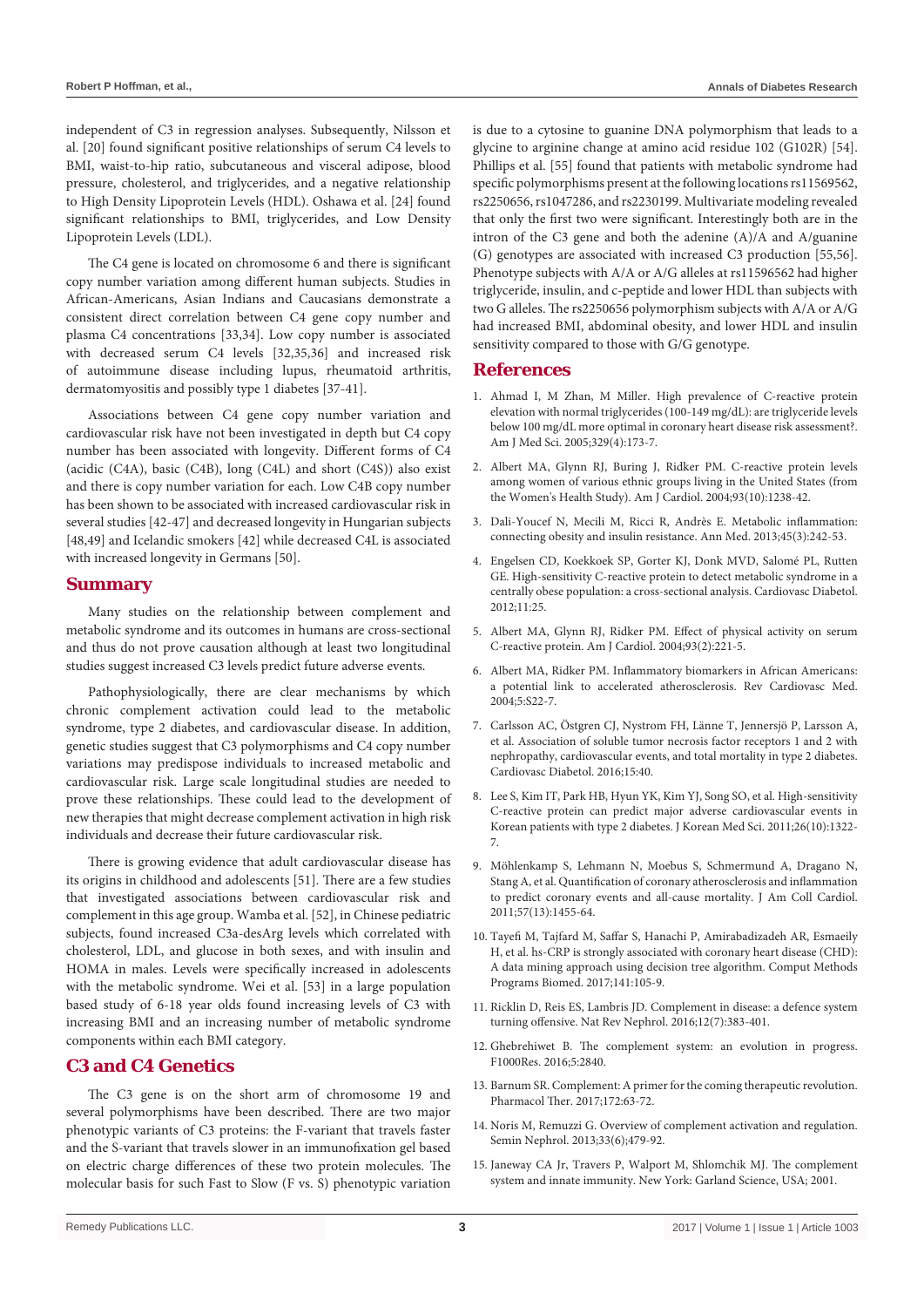independent of C3 in regression analyses. Subsequently, Nilsson et al. [20] found significant positive relationships of serum C4 levels to BMI, waist-to-hip ratio, subcutaneous and visceral adipose, blood pressure, cholesterol, and triglycerides, and a negative relationship to High Density Lipoprotein Levels (HDL). Oshawa et al. [24] found significant relationships to BMI, triglycerides, and Low Density Lipoprotein Levels (LDL).

The C4 gene is located on chromosome 6 and there is significant copy number variation among different human subjects. Studies in African-Americans, Asian Indians and Caucasians demonstrate a consistent direct correlation between C4 gene copy number and plasma C4 concentrations [33,34]. Low copy number is associated with decreased serum C4 levels [32,35,36] and increased risk of autoimmune disease including lupus, rheumatoid arthritis, dermatomyositis and possibly type 1 diabetes [37-41].

Associations between C4 gene copy number variation and cardiovascular risk have not been investigated in depth but C4 copy number has been associated with longevity. Different forms of C4 (acidic (C4A), basic (C4B), long (C4L) and short (C4S)) also exist and there is copy number variation for each. Low C4B copy number has been shown to be associated with increased cardiovascular risk in several studies [42-47] and decreased longevity in Hungarian subjects [48,49] and Icelandic smokers [42] while decreased C4L is associated with increased longevity in Germans [50].

#### **Summary**

Many studies on the relationship between complement and metabolic syndrome and its outcomes in humans are cross-sectional and thus do not prove causation although at least two longitudinal studies suggest increased C3 levels predict future adverse events.

Pathophysiologically, there are clear mechanisms by which chronic complement activation could lead to the metabolic syndrome, type 2 diabetes, and cardiovascular disease. In addition, genetic studies suggest that C3 polymorphisms and C4 copy number variations may predispose individuals to increased metabolic and cardiovascular risk. Large scale longitudinal studies are needed to prove these relationships. These could lead to the development of new therapies that might decrease complement activation in high risk individuals and decrease their future cardiovascular risk.

There is growing evidence that adult cardiovascular disease has its origins in childhood and adolescents [51]. There are a few studies that investigated associations between cardiovascular risk and complement in this age group. Wamba et al. [52], in Chinese pediatric subjects, found increased C3a-desArg levels which correlated with cholesterol, LDL, and glucose in both sexes, and with insulin and HOMA in males. Levels were specifically increased in adolescents with the metabolic syndrome. Wei et al. [53] in a large population based study of 6-18 year olds found increasing levels of C3 with increasing BMI and an increasing number of metabolic syndrome components within each BMI category.

## **C3 and C4 Genetics**

The C3 gene is on the short arm of chromosome 19 and several polymorphisms have been described. There are two major phenotypic variants of C3 proteins: the F-variant that travels faster and the S-variant that travels slower in an immunofixation gel based on electric charge differences of these two protein molecules. The molecular basis for such Fast to Slow (F vs. S) phenotypic variation is due to a cytosine to guanine DNA polymorphism that leads to a glycine to arginine change at amino acid residue 102 (G102R) [54]. Phillips et al. [55] found that patients with metabolic syndrome had specific polymorphisms present at the following locations rs11569562, rs2250656, rs1047286, and rs2230199. Multivariate modeling revealed that only the first two were significant. Interestingly both are in the intron of the C3 gene and both the adenine (A)/A and A/guanine (G) genotypes are associated with increased C3 production [55,56]. Phenotype subjects with A/A or A/G alleles at rs11596562 had higher triglyceride, insulin, and c-peptide and lower HDL than subjects with two G alleles. The rs2250656 polymorphism subjects with A/A or A/G had increased BMI, abdominal obesity, and lower HDL and insulin sensitivity compared to those with G/G genotype.

#### **References**

- 1. [Ahmad I, M Zhan, M Miller. High prevalence of C-reactive protein](https://www.ncbi.nlm.nih.gov/pubmed/15832099)  [elevation with normal triglycerides \(100-149 mg/dL\): are triglyceride levels](https://www.ncbi.nlm.nih.gov/pubmed/15832099)  [below 100 mg/dL more optimal in coronary heart disease risk assessment?.](https://www.ncbi.nlm.nih.gov/pubmed/15832099)  [Am J Med Sci. 2005;329\(4\):173-7.](https://www.ncbi.nlm.nih.gov/pubmed/15832099)
- 2. [Albert MA, Glynn RJ, Buring J, Ridker PM. C-reactive protein levels](https://www.ncbi.nlm.nih.gov/pubmed/15135696)  [among women of various ethnic groups living in the United States \(from](https://www.ncbi.nlm.nih.gov/pubmed/15135696)  [the Women's Health Study\). Am J Cardiol. 2004;93\(10\):1238-42.](https://www.ncbi.nlm.nih.gov/pubmed/15135696)
- 3. [Dali-Youcef N, Mecili M, Ricci R, Andrès E. Metabolic inflammation:](https://www.ncbi.nlm.nih.gov/pubmed/22834949)  [connecting obesity and insulin resistance. Ann Med. 2013;45\(3\):242-53.](https://www.ncbi.nlm.nih.gov/pubmed/22834949)
- 4. [Engelsen CD, Koekkoek SP, Gorter KJ, Donk MVD, Salomé PL, Rutten](https://cardiab.biomedcentral.com/articles/10.1186/1475-2840-11-25)  [GE. High-sensitivity C-reactive protein to detect metabolic syndrome in a](https://cardiab.biomedcentral.com/articles/10.1186/1475-2840-11-25)  [centrally obese population: a cross-sectional analysis. Cardiovasc Diabetol.](https://cardiab.biomedcentral.com/articles/10.1186/1475-2840-11-25)  [2012;11:25.](https://cardiab.biomedcentral.com/articles/10.1186/1475-2840-11-25)
- 5. [Albert MA, Glynn RJ, Ridker PM. Effect of physical activity on serum](https://www.ncbi.nlm.nih.gov/pubmed/14715354)  [C-reactive protein. Am J Cardiol. 2004;93\(2\):221-5.](https://www.ncbi.nlm.nih.gov/pubmed/14715354)
- 6. Albert MA, Ridker PM. Inflammatory biomarkers in African Americans: a potential link to accelerated atherosclerosis. Rev Cardiovasc Med. 2004;5:S22-7.
- 7. [Carlsson AC, Östgren CJ, Nystrom FH, Länne T, Jennersjö P, Larsson A,](https://www.ncbi.nlm.nih.gov/pmc/articles/PMC4770690/)  [et al. Association of soluble tumor necrosis factor receptors 1 and 2 with](https://www.ncbi.nlm.nih.gov/pmc/articles/PMC4770690/)  [nephropathy, cardiovascular events, and total mortality in type 2 diabetes.](https://www.ncbi.nlm.nih.gov/pmc/articles/PMC4770690/)  [Cardiovasc Diabetol. 2016;15:40.](https://www.ncbi.nlm.nih.gov/pmc/articles/PMC4770690/)
- 8. [Lee S, Kim IT, Park HB, Hyun YK, Kim YJ, Song SO, et al. High-sensitivity](https://www.ncbi.nlm.nih.gov/pubmed/22022185)  [C-reactive protein can predict major adverse cardiovascular events in](https://www.ncbi.nlm.nih.gov/pubmed/22022185)  [Korean patients with type 2 diabetes. J Korean Med Sci. 2011;26\(10\):1322-](https://www.ncbi.nlm.nih.gov/pubmed/22022185) [7.](https://www.ncbi.nlm.nih.gov/pubmed/22022185)
- 9. [Möhlenkamp S, Lehmann N, Moebus S, Schmermund A, Dragano N,](https://www.ncbi.nlm.nih.gov/pubmed/21435514)  [Stang A, et al. Quantification of coronary atherosclerosis and inflammation](https://www.ncbi.nlm.nih.gov/pubmed/21435514)  [to predict coronary events and all-cause mortality. J Am Coll Cardiol.](https://www.ncbi.nlm.nih.gov/pubmed/21435514)   $2011:57(13):1455-64.$
- 10. [Tayefi M, Tajfard M, Saffar S, Hanachi P, Amirabadizadeh AR, Esmaeily](https://www.ncbi.nlm.nih.gov/pubmed/28241960)  [H, et al. hs-CRP is strongly associated with coronary heart disease \(CHD\):](https://www.ncbi.nlm.nih.gov/pubmed/28241960)  [A data mining approach using decision tree algorithm. Comput Methods](https://www.ncbi.nlm.nih.gov/pubmed/28241960)  [Programs Biomed. 2017;141:105-9.](https://www.ncbi.nlm.nih.gov/pubmed/28241960)
- 11. [Ricklin D, Reis ES, Lambris JD. Complement in disease: a defence system](https://www.ncbi.nlm.nih.gov/pubmed/27211870)  [turning offensive. Nat Rev Nephrol. 2016;12\(7\):383-401.](https://www.ncbi.nlm.nih.gov/pubmed/27211870)
- 12. [Ghebrehiwet B. The complement system: an evolution in progress.](https://www.ncbi.nlm.nih.gov/pmc/articles/PMC5155499/)  [F1000Res. 2016;5:2840.](https://www.ncbi.nlm.nih.gov/pmc/articles/PMC5155499/)
- 13. [Barnum SR. Complement: A primer for the coming therapeutic revolution.](https://www.ncbi.nlm.nih.gov/pubmed/27914981)  [Pharmacol Ther. 2017;172:63-72.](https://www.ncbi.nlm.nih.gov/pubmed/27914981)
- 14. [Noris M, Remuzzi G. Overview of complement activation and regulation.](https://www.ncbi.nlm.nih.gov/pubmed/24161035)  [Semin Nephrol. 2013;33\(6\);479-92.](https://www.ncbi.nlm.nih.gov/pubmed/24161035)
- 15. [Janeway CA Jr, Travers P, Walport M, Shlomchik MJ. The complement](https://www.ncbi.nlm.nih.gov/books/NBK27100/)  [system and innate immunity. New York: Garland Science, USA; 2001.](https://www.ncbi.nlm.nih.gov/books/NBK27100/)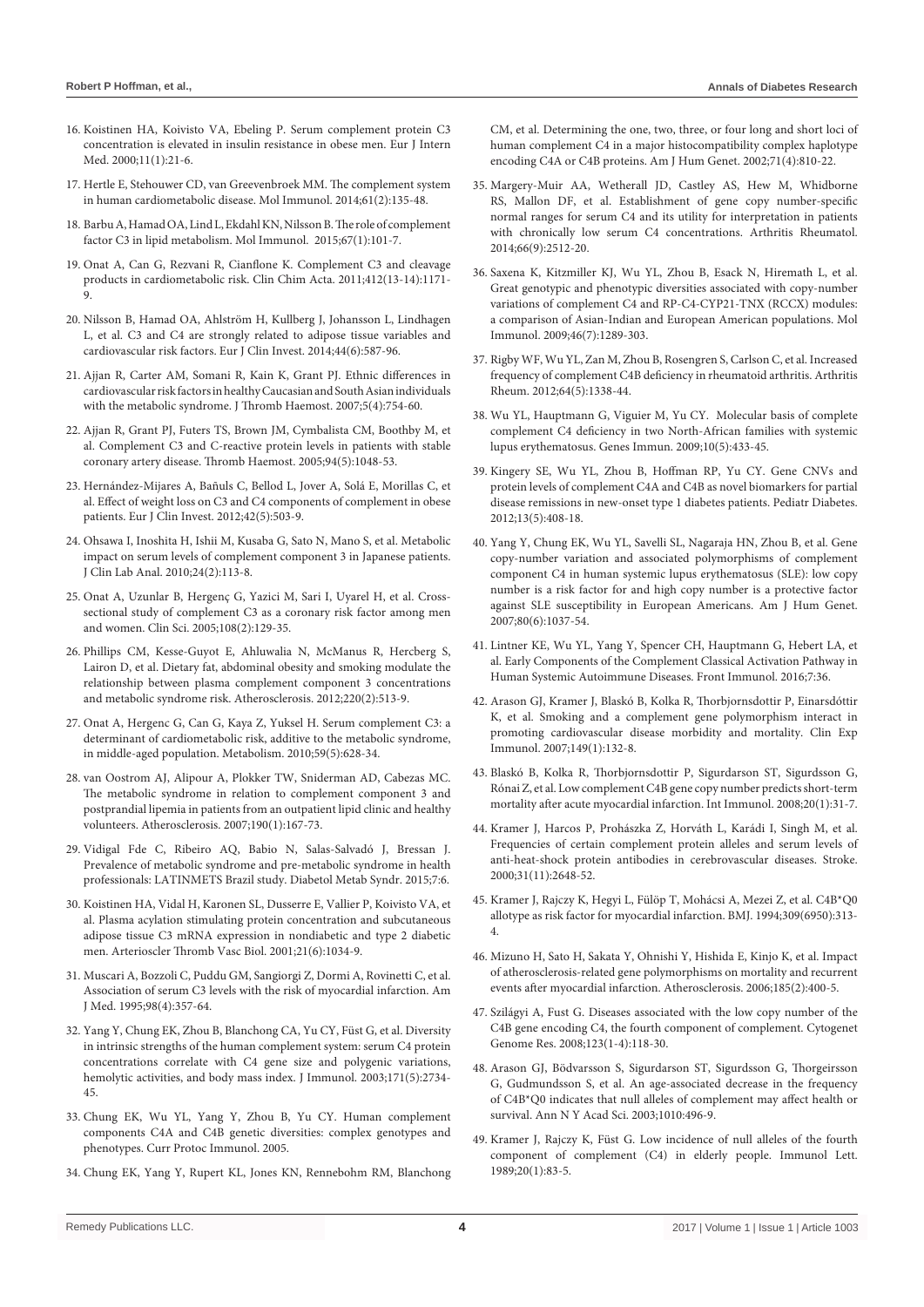- 16. [Koistinen HA, Koivisto VA, Ebeling P. Serum complement protein C3](http://www.sciencedirect.com/science/article/pii/S0953620599000643)  [concentration is elevated in insulin resistance in obese men. Eur J Intern](http://www.sciencedirect.com/science/article/pii/S0953620599000643)  [Med. 2000;11\(1\):21-6.](http://www.sciencedirect.com/science/article/pii/S0953620599000643)
- 17. [Hertle E, Stehouwer CD, van Greevenbroek MM. The complement system](https://www.ncbi.nlm.nih.gov/pubmed/25017306)  [in human cardiometabolic disease. Mol Immunol. 2014;61\(2\):135-48.](https://www.ncbi.nlm.nih.gov/pubmed/25017306)
- 18. [Barbu A, Hamad OA, Lind L, Ekdahl KN, Nilsson B. The role of complement](https://www.ncbi.nlm.nih.gov/pubmed/25746915)  [factor C3 in lipid metabolism. Mol Immunol. 2015;67\(1\):101-7.](https://www.ncbi.nlm.nih.gov/pubmed/25746915)
- 19. [Onat A, Can G, Rezvani R, Cianflone K. Complement C3 and cleavage](https://www.ncbi.nlm.nih.gov/pubmed/21419112)  [products in cardiometabolic risk. Clin Chim Acta. 2011;412\(13-14\):1171-](https://www.ncbi.nlm.nih.gov/pubmed/21419112) [9.](https://www.ncbi.nlm.nih.gov/pubmed/21419112)
- 20. [Nilsson B, Hamad OA, Ahlström H, Kullberg J, Johansson L, Lindhagen](https://www.ncbi.nlm.nih.gov/pubmed/24754458)  [L, et al. C3 and C4 are strongly related to adipose tissue variables and](https://www.ncbi.nlm.nih.gov/pubmed/24754458)  [cardiovascular risk factors. Eur J Clin Invest. 2014;44\(6\):587-96.](https://www.ncbi.nlm.nih.gov/pubmed/24754458)
- 21. [Ajjan R, Carter AM, Somani R, Kain K, Grant PJ. Ethnic differences in](https://www.ncbi.nlm.nih.gov/pubmed/17408409)  [cardiovascular risk factors in healthy Caucasian and South Asian individuals](https://www.ncbi.nlm.nih.gov/pubmed/17408409)  [with the metabolic syndrome. J Thromb Haemost. 2007;5\(4\):754-60.](https://www.ncbi.nlm.nih.gov/pubmed/17408409)
- 22. [Ajjan R, Grant PJ, Futers TS, Brown JM, Cymbalista CM, Boothby M, et](https://www.ncbi.nlm.nih.gov/pubmed/16363249)  [al. Complement C3 and C-reactive protein levels in patients with stable](https://www.ncbi.nlm.nih.gov/pubmed/16363249)  [coronary artery disease. Thromb Haemost. 2005;94\(5\):1048-53.](https://www.ncbi.nlm.nih.gov/pubmed/16363249)
- 23. [Hernández-Mijares A, Bañuls C, Bellod L, Jover A, Solá E, Morillas C, et](https://www.ncbi.nlm.nih.gov/pubmed/21985442)  [al. Effect of weight loss on C3 and C4 components of complement in obese](https://www.ncbi.nlm.nih.gov/pubmed/21985442)  [patients. Eur J Clin Invest. 2012;42\(5\):503-9.](https://www.ncbi.nlm.nih.gov/pubmed/21985442)
- 24. [Ohsawa I, Inoshita H, Ishii M, Kusaba G, Sato N, Mano S, et al. Metabolic](https://www.ncbi.nlm.nih.gov/pubmed/20333766)  [impact on serum levels of complement component 3 in Japanese patients.](https://www.ncbi.nlm.nih.gov/pubmed/20333766)  [J Clin Lab Anal. 2010;24\(2\):113-8.](https://www.ncbi.nlm.nih.gov/pubmed/20333766)
- 25. [Onat A, Uzunlar B, Hergenç G, Yazici M, Sari I, Uyarel H, et al. Cross](https://www.ncbi.nlm.nih.gov/labs/articles/15487975/)[sectional study of complement C3 as a coronary risk factor among men](https://www.ncbi.nlm.nih.gov/labs/articles/15487975/)  [and women. Clin Sci. 2005;108\(2\):129-35.](https://www.ncbi.nlm.nih.gov/labs/articles/15487975/)
- 26. [Phillips CM, Kesse-Guyot E, Ahluwalia N, McManus R, Hercberg S,](https://www.ncbi.nlm.nih.gov/pubmed/22138144)  [Lairon D, et al. Dietary fat, abdominal obesity and smoking modulate the](https://www.ncbi.nlm.nih.gov/pubmed/22138144)  [relationship between plasma complement component 3 concentrations](https://www.ncbi.nlm.nih.gov/pubmed/22138144)  [and metabolic syndrome risk. Atherosclerosis. 2012;220\(2\):513-9.](https://www.ncbi.nlm.nih.gov/pubmed/22138144)
- 27. [Onat A, Hergenc G, Can G, Kaya Z, Yuksel H. Serum complement C3: a](http://www.sciencedirect.com/science/article/pii/S0026049509003801)  [determinant of cardiometabolic risk, additive to the metabolic syndrome,](http://www.sciencedirect.com/science/article/pii/S0026049509003801)  [in middle-aged population. Metabolism. 2010;59\(5\):628-34.](http://www.sciencedirect.com/science/article/pii/S0026049509003801)
- 28. [van Oostrom AJ, Alipour A, Plokker TW, Sniderman AD, Cabezas MC.](https://www.ncbi.nlm.nih.gov/pubmed/16488421)  [The metabolic syndrome in relation to complement component 3 and](https://www.ncbi.nlm.nih.gov/pubmed/16488421)  [postprandial lipemia in patients from an outpatient lipid clinic and healthy](https://www.ncbi.nlm.nih.gov/pubmed/16488421)  [volunteers. Atherosclerosis. 2007;190\(1\):167-73.](https://www.ncbi.nlm.nih.gov/pubmed/16488421)
- 29. [Vidigal Fde C, Ribeiro AQ, Babio N, Salas-Salvadó J, Bressan J.](https://www.ncbi.nlm.nih.gov/pubmed/25717347)  [Prevalence of metabolic syndrome and pre-metabolic syndrome in health](https://www.ncbi.nlm.nih.gov/pubmed/25717347)  [professionals: LATINMETS Brazil study. Diabetol Metab Syndr. 2015;7:6.](https://www.ncbi.nlm.nih.gov/pubmed/25717347)
- 30. [Koistinen HA, Vidal H, Karonen SL, Dusserre E, Vallier P, Koivisto VA, et](https://www.ncbi.nlm.nih.gov/pubmed/11397716)  [al. Plasma acylation stimulating protein concentration and subcutaneous](https://www.ncbi.nlm.nih.gov/pubmed/11397716)  [adipose tissue C3 mRNA expression in nondiabetic and type 2 diabetic](https://www.ncbi.nlm.nih.gov/pubmed/11397716)  [men. Arterioscler Thromb Vasc Biol. 2001;21\(6\):1034-9.](https://www.ncbi.nlm.nih.gov/pubmed/11397716)
- 31. [Muscari A, Bozzoli C, Puddu GM, Sangiorgi Z, Dormi A, Rovinetti C, et al.](https://www.ncbi.nlm.nih.gov/pubmed/7709948)  [Association of serum C3 levels with the risk of myocardial infarction. Am](https://www.ncbi.nlm.nih.gov/pubmed/7709948)  [J Med. 1995;98\(4\):357-64.](https://www.ncbi.nlm.nih.gov/pubmed/7709948)
- 32. [Yang Y, Chung EK, Zhou B, Blanchong CA, Yu CY, Füst G, et al. Diversity](https://www.ncbi.nlm.nih.gov/pubmed/12928427)  [in intrinsic strengths of the human complement system: serum C4 protein](https://www.ncbi.nlm.nih.gov/pubmed/12928427)  [concentrations correlate with C4 gene size and polygenic variations,](https://www.ncbi.nlm.nih.gov/pubmed/12928427)  [hemolytic activities, and body mass index. J Immunol. 2003;171\(5\):2734-](https://www.ncbi.nlm.nih.gov/pubmed/12928427) [45.](https://www.ncbi.nlm.nih.gov/pubmed/12928427)
- 33. [Chung EK, Wu YL, Yang Y, Zhou B, Yu CY. Human complement](https://www.ncbi.nlm.nih.gov/pubmed/18432942)  [components C4A and C4B genetic diversities: complex genotypes and](https://www.ncbi.nlm.nih.gov/pubmed/18432942)  [phenotypes. Curr Protoc Immunol. 2005.](https://www.ncbi.nlm.nih.gov/pubmed/18432942)
- 34. [Chung EK, Yang Y, Rupert KL, Jones KN, Rennebohm RM, Blanchong](https://www.ncbi.nlm.nih.gov/pmc/articles/PMC378538/)

[CM, et al. Determining the one, two, three, or four long and short loci of](https://www.ncbi.nlm.nih.gov/pmc/articles/PMC378538/)  [human complement C4 in a major histocompatibility complex haplotype](https://www.ncbi.nlm.nih.gov/pmc/articles/PMC378538/)  [encoding C4A or C4B proteins. Am J Hum Genet. 2002;71\(4\):810-22.](https://www.ncbi.nlm.nih.gov/pmc/articles/PMC378538/)

- 35. [Margery-Muir AA, Wetherall JD, Castley AS, Hew M, Whidborne](https://www.ncbi.nlm.nih.gov/pubmed/24757030)  [RS, Mallon DF, et al. Establishment of gene copy number-specific](https://www.ncbi.nlm.nih.gov/pubmed/24757030)  [normal ranges for serum C4 and its utility for interpretation in patients](https://www.ncbi.nlm.nih.gov/pubmed/24757030)  [with chronically low serum C4 concentrations. Arthritis Rheumatol.](https://www.ncbi.nlm.nih.gov/pubmed/24757030)  [2014;66\(9\):2512-20.](https://www.ncbi.nlm.nih.gov/pubmed/24757030)
- 36. [Saxena K, Kitzmiller KJ, Wu YL, Zhou B, Esack N, Hiremath L, et al.](https://www.ncbi.nlm.nih.gov/pubmed/19135723)  [Great genotypic and phenotypic diversities associated with copy-number](https://www.ncbi.nlm.nih.gov/pubmed/19135723)  [variations of complement C4 and RP-C4-CYP21-TNX \(RCCX\) modules:](https://www.ncbi.nlm.nih.gov/pubmed/19135723)  [a comparison of Asian-Indian and European American populations. Mol](https://www.ncbi.nlm.nih.gov/pubmed/19135723)  [Immunol. 2009;46\(7\):1289-303.](https://www.ncbi.nlm.nih.gov/pubmed/19135723)
- 37. [Rigby WF, Wu YL, Zan M, Zhou B, Rosengren S, Carlson C, et al. Increased](https://www.ncbi.nlm.nih.gov/pubmed/22076784)  [frequency of complement C4B deficiency in rheumatoid arthritis. Arthritis](https://www.ncbi.nlm.nih.gov/pubmed/22076784)  [Rheum. 2012;64\(5\):1338-44.](https://www.ncbi.nlm.nih.gov/pubmed/22076784)
- 38. [Wu YL, Hauptmann G, Viguier M, Yu CY. Molecular basis of complete](https://www.ncbi.nlm.nih.gov/pubmed/19279649)  [complement C4 deficiency in two North-African families with systemic](https://www.ncbi.nlm.nih.gov/pubmed/19279649)  [lupus erythematosus. Genes Immun. 2009;10\(5\):433-45.](https://www.ncbi.nlm.nih.gov/pubmed/19279649)
- 39. [Kingery SE, Wu YL, Zhou B, Hoffman RP, Yu CY. Gene CNVs and](https://www.ncbi.nlm.nih.gov/pubmed/22151770)  [protein levels of complement C4A and C4B as novel biomarkers for partial](https://www.ncbi.nlm.nih.gov/pubmed/22151770)  [disease remissions in new-onset type 1 diabetes patients. Pediatr Diabetes.](https://www.ncbi.nlm.nih.gov/pubmed/22151770)  [2012;13\(5\):408-18.](https://www.ncbi.nlm.nih.gov/pubmed/22151770)
- 40. [Yang Y, Chung EK, Wu YL, Savelli SL, Nagaraja HN, Zhou B, et al. Gene](https://www.ncbi.nlm.nih.gov/pubmed/17503323)  [copy-number variation and associated polymorphisms of complement](https://www.ncbi.nlm.nih.gov/pubmed/17503323)  [component C4 in human systemic lupus erythematosus \(SLE\): low copy](https://www.ncbi.nlm.nih.gov/pubmed/17503323)  [number is a risk factor for and high copy number is a protective factor](https://www.ncbi.nlm.nih.gov/pubmed/17503323)  [against SLE susceptibility in European Americans. Am J Hum Genet.](https://www.ncbi.nlm.nih.gov/pubmed/17503323)  [2007;80\(6\):1037-54.](https://www.ncbi.nlm.nih.gov/pubmed/17503323)
- 41. [Lintner KE, Wu YL, Yang Y, Spencer CH, Hauptmann G, Hebert LA, et](https://www.ncbi.nlm.nih.gov/pubmed/26913032)  [al. Early Components of the Complement Classical Activation Pathway in](https://www.ncbi.nlm.nih.gov/pubmed/26913032)  [Human Systemic Autoimmune Diseases. Front Immunol. 2016;7:36.](https://www.ncbi.nlm.nih.gov/pubmed/26913032)
- 42. [Arason GJ, Kramer J, Blaskó B, Kolka R, Thorbjornsdottir P, Einarsdóttir](https://www.ncbi.nlm.nih.gov/pubmed/17425651?dopt=Abstract)  [K, et al. Smoking and a complement gene polymorphism interact in](https://www.ncbi.nlm.nih.gov/pubmed/17425651?dopt=Abstract)  [promoting cardiovascular disease morbidity and mortality. Clin Exp](https://www.ncbi.nlm.nih.gov/pubmed/17425651?dopt=Abstract)  [Immunol. 2007;149\(1\):132-8.](https://www.ncbi.nlm.nih.gov/pubmed/17425651?dopt=Abstract)
- 43. [Blaskó B, Kolka R, Thorbjornsdottir P, Sigurdarson ST, Sigurdsson G,](https://www.ncbi.nlm.nih.gov/pubmed/18032375)  [Rónai Z, et al. Low complement C4B gene copy number predicts short-term](https://www.ncbi.nlm.nih.gov/pubmed/18032375)  [mortality after acute myocardial infarction. Int Immunol. 2008;20\(1\):31-7.](https://www.ncbi.nlm.nih.gov/pubmed/18032375)
- 44. [Kramer J, Harcos P, Prohászka Z, Horváth L, Karádi I, Singh M, et al.](https://www.ncbi.nlm.nih.gov/pubmed/11062289)  [Frequencies of certain complement protein alleles and serum levels of](https://www.ncbi.nlm.nih.gov/pubmed/11062289)  [anti-heat-shock protein antibodies in cerebrovascular diseases. Stroke.](https://www.ncbi.nlm.nih.gov/pubmed/11062289)  [2000;31\(11\):2648-52.](https://www.ncbi.nlm.nih.gov/pubmed/11062289)
- 45. [Kramer J, Rajczy K, Hegyi L, Fülöp T, Mohácsi A, Mezei Z, et al. C4B\\*Q0](https://www.ncbi.nlm.nih.gov/pubmed/8086869)  [allotype as risk factor for myocardial infarction. BMJ. 1994;309\(6950\):313-](https://www.ncbi.nlm.nih.gov/pubmed/8086869) [4.](https://www.ncbi.nlm.nih.gov/pubmed/8086869)
- 46. [Mizuno H, Sato H, Sakata Y, Ohnishi Y, Hishida E, Kinjo K, et al. Impact](https://www.ncbi.nlm.nih.gov/pubmed/16054631)  [of atherosclerosis-related gene polymorphisms on mortality and recurrent](https://www.ncbi.nlm.nih.gov/pubmed/16054631)  [events after myocardial infarction. Atherosclerosis. 2006;185\(2\):400-5.](https://www.ncbi.nlm.nih.gov/pubmed/16054631)
- 47. [Szilágyi A, Fust G. Diseases associated with the low copy number of the](https://www.ncbi.nlm.nih.gov/pubmed/19287146)  [C4B gene encoding C4, the fourth component of complement. Cytogenet](https://www.ncbi.nlm.nih.gov/pubmed/19287146)  [Genome Res. 2008;123\(1-4\):118-30.](https://www.ncbi.nlm.nih.gov/pubmed/19287146)
- 48. [Arason GJ, Bödvarsson S, Sigurdarson ST, Sigurdsson G, Thorgeirsson](https://www.ncbi.nlm.nih.gov/labs/articles/15033778/)  [G, Gudmundsson S, et al. An age-associated decrease in the frequency](https://www.ncbi.nlm.nih.gov/labs/articles/15033778/)  [of C4B\\*Q0 indicates that null alleles of complement may affect health or](https://www.ncbi.nlm.nih.gov/labs/articles/15033778/)  [survival. Ann N Y Acad Sci. 2003;1010:496-9.](https://www.ncbi.nlm.nih.gov/labs/articles/15033778/)
- 49. [Kramer J, Rajczy K, Füst G. Low incidence of null alleles of the fourth](https://www.ncbi.nlm.nih.gov/pubmed/2714841)  [component of complement \(C4\) in elderly people. Immunol Lett.](https://www.ncbi.nlm.nih.gov/pubmed/2714841)  [1989;20\(1\):83-5.](https://www.ncbi.nlm.nih.gov/pubmed/2714841)